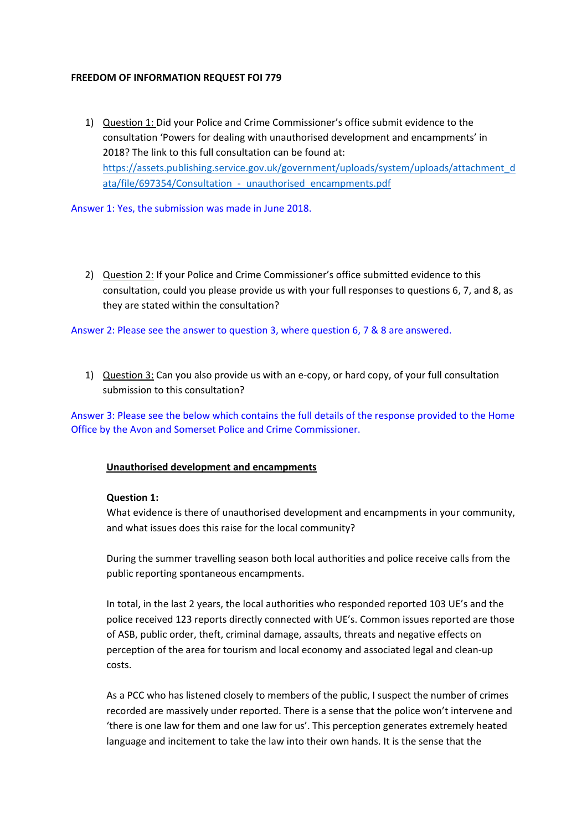#### **FREEDOM OF INFORMATION REQUEST FOI 779**

1) Question 1: Did your Police and Crime Commissioner's office submit evidence to the consultation 'Powers for dealing with unauthorised development and encampments' in 2018? The link to this full consultation can be found at: https://assets.publishing.service.gov.uk/government/uploads/system/uploads/attachment\_d ata/file/697354/Consultation - unauthorised encampments.pdf

Answer 1: Yes, the submission was made in June 2018.

2) Question 2: If your Police and Crime Commissioner's office submitted evidence to this consultation, could you please provide us with your full responses to questions 6, 7, and 8, as they are stated within the consultation?

Answer 2: Please see the answer to question 3, where question 6, 7 & 8 are answered.

1) Question 3: Can you also provide us with an e‐copy, or hard copy, of your full consultation submission to this consultation?

Answer 3: Please see the below which contains the full details of the response provided to the Home Office by the Avon and Somerset Police and Crime Commissioner.

## **Unauthorised development and encampments**

#### **Question 1:**

What evidence is there of unauthorised development and encampments in your community, and what issues does this raise for the local community?

During the summer travelling season both local authorities and police receive calls from the public reporting spontaneous encampments.

In total, in the last 2 years, the local authorities who responded reported 103 UE's and the police received 123 reports directly connected with UE's. Common issues reported are those of ASB, public order, theft, criminal damage, assaults, threats and negative effects on perception of the area for tourism and local economy and associated legal and clean‐up costs.

As a PCC who has listened closely to members of the public, I suspect the number of crimes recorded are massively under reported. There is a sense that the police won't intervene and 'there is one law for them and one law for us'. This perception generates extremely heated language and incitement to take the law into their own hands. It is the sense that the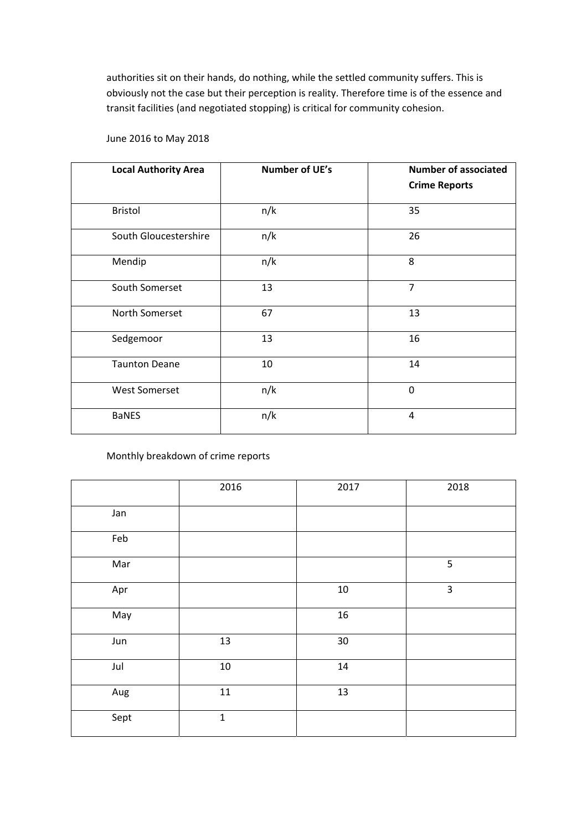authorities sit on their hands, do nothing, while the settled community suffers. This is obviously not the case but their perception is reality. Therefore time is of the essence and transit facilities (and negotiated stopping) is critical for community cohesion.

## June 2016 to May 2018

| <b>Local Authority Area</b> | <b>Number of UE's</b> | <b>Number of associated</b><br><b>Crime Reports</b> |
|-----------------------------|-----------------------|-----------------------------------------------------|
| <b>Bristol</b>              | n/k                   | 35                                                  |
| South Gloucestershire       | n/k                   | 26                                                  |
| Mendip                      | n/k                   | 8                                                   |
| South Somerset              | 13                    | $\overline{7}$                                      |
| North Somerset              | 67                    | 13                                                  |
| Sedgemoor                   | 13                    | 16                                                  |
| <b>Taunton Deane</b>        | 10                    | 14                                                  |
| <b>West Somerset</b>        | n/k                   | $\Omega$                                            |
| <b>BaNES</b>                | n/k                   | 4                                                   |

Monthly breakdown of crime reports

|      | 2016        | 2017   | 2018                    |
|------|-------------|--------|-------------------------|
| Jan  |             |        |                         |
| Feb  |             |        |                         |
| Mar  |             |        | 5                       |
| Apr  |             | $10\,$ | $\overline{\mathbf{3}}$ |
| May  |             | 16     |                         |
| Jun  | 13          | 30     |                         |
| Jul  | $10\,$      | 14     |                         |
| Aug  | $11\,$      | 13     |                         |
| Sept | $\mathbf 1$ |        |                         |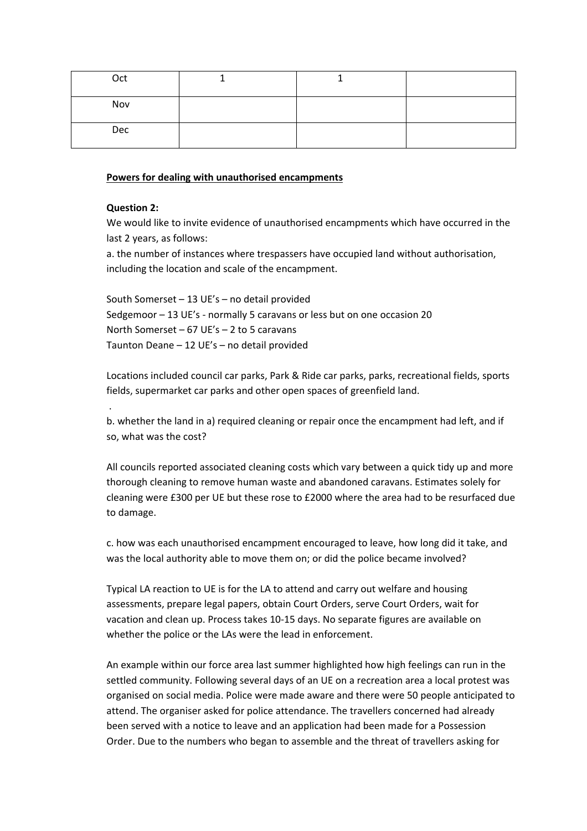| Oct |  |  |
|-----|--|--|
| Nov |  |  |
| Dec |  |  |

#### **Powers for dealing with unauthorised encampments**

#### **Question 2:**

.

We would like to invite evidence of unauthorised encampments which have occurred in the last 2 years, as follows:

a. the number of instances where trespassers have occupied land without authorisation, including the location and scale of the encampment.

South Somerset – 13 UE's – no detail provided Sedgemoor – 13 UE's ‐ normally 5 caravans or less but on one occasion 20 North Somerset – 67 UE's – 2 to 5 caravans Taunton Deane – 12 UE's – no detail provided

Locations included council car parks, Park & Ride car parks, parks, recreational fields, sports fields, supermarket car parks and other open spaces of greenfield land.

b. whether the land in a) required cleaning or repair once the encampment had left, and if so, what was the cost?

All councils reported associated cleaning costs which vary between a quick tidy up and more thorough cleaning to remove human waste and abandoned caravans. Estimates solely for cleaning were £300 per UE but these rose to £2000 where the area had to be resurfaced due to damage.

c. how was each unauthorised encampment encouraged to leave, how long did it take, and was the local authority able to move them on; or did the police became involved?

Typical LA reaction to UE is for the LA to attend and carry out welfare and housing assessments, prepare legal papers, obtain Court Orders, serve Court Orders, wait for vacation and clean up. Process takes 10‐15 days. No separate figures are available on whether the police or the LAs were the lead in enforcement.

An example within our force area last summer highlighted how high feelings can run in the settled community. Following several days of an UE on a recreation area a local protest was organised on social media. Police were made aware and there were 50 people anticipated to attend. The organiser asked for police attendance. The travellers concerned had already been served with a notice to leave and an application had been made for a Possession Order. Due to the numbers who began to assemble and the threat of travellers asking for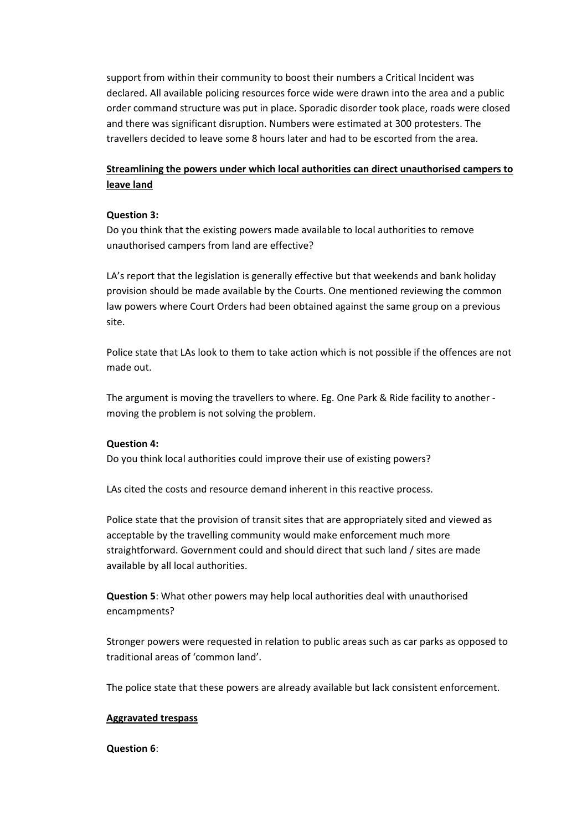support from within their community to boost their numbers a Critical Incident was declared. All available policing resources force wide were drawn into the area and a public order command structure was put in place. Sporadic disorder took place, roads were closed and there was significant disruption. Numbers were estimated at 300 protesters. The travellers decided to leave some 8 hours later and had to be escorted from the area.

## **Streamlining the powers under which local authorities can direct unauthorised campers to leave land**

## **Question 3:**

Do you think that the existing powers made available to local authorities to remove unauthorised campers from land are effective?

LA's report that the legislation is generally effective but that weekends and bank holiday provision should be made available by the Courts. One mentioned reviewing the common law powers where Court Orders had been obtained against the same group on a previous site.

Police state that LAs look to them to take action which is not possible if the offences are not made out.

The argument is moving the travellers to where. Eg. One Park & Ride facility to another ‐ moving the problem is not solving the problem.

## **Question 4:**

Do you think local authorities could improve their use of existing powers?

LAs cited the costs and resource demand inherent in this reactive process.

Police state that the provision of transit sites that are appropriately sited and viewed as acceptable by the travelling community would make enforcement much more straightforward. Government could and should direct that such land / sites are made available by all local authorities.

**Question 5**: What other powers may help local authorities deal with unauthorised encampments?

Stronger powers were requested in relation to public areas such as car parks as opposed to traditional areas of 'common land'.

The police state that these powers are already available but lack consistent enforcement.

## **Aggravated trespass**

## **Question 6**: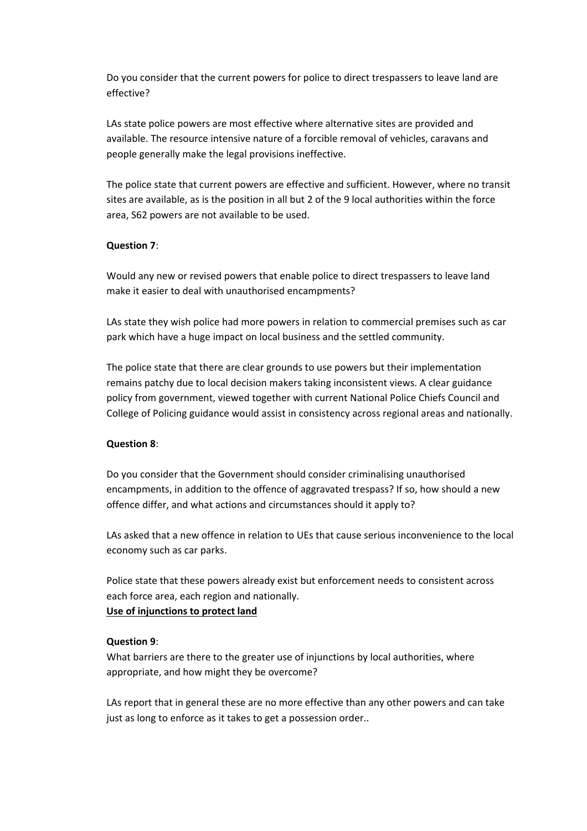Do you consider that the current powers for police to direct trespassers to leave land are effective?

LAs state police powers are most effective where alternative sites are provided and available. The resource intensive nature of a forcible removal of vehicles, caravans and people generally make the legal provisions ineffective.

The police state that current powers are effective and sufficient. However, where no transit sites are available, as is the position in all but 2 of the 9 local authorities within the force area, S62 powers are not available to be used.

## **Question 7**:

Would any new or revised powers that enable police to direct trespassers to leave land make it easier to deal with unauthorised encampments?

LAs state they wish police had more powers in relation to commercial premises such as car park which have a huge impact on local business and the settled community.

The police state that there are clear grounds to use powers but their implementation remains patchy due to local decision makers taking inconsistent views. A clear guidance policy from government, viewed together with current National Police Chiefs Council and College of Policing guidance would assist in consistency across regional areas and nationally.

#### **Question 8**:

Do you consider that the Government should consider criminalising unauthorised encampments, in addition to the offence of aggravated trespass? If so, how should a new offence differ, and what actions and circumstances should it apply to?

LAs asked that a new offence in relation to UEs that cause serious inconvenience to the local economy such as car parks.

Police state that these powers already exist but enforcement needs to consistent across each force area, each region and nationally.

# **Use of injunctions to protect land**

#### **Question 9**:

What barriers are there to the greater use of injunctions by local authorities, where appropriate, and how might they be overcome?

LAs report that in general these are no more effective than any other powers and can take just as long to enforce as it takes to get a possession order..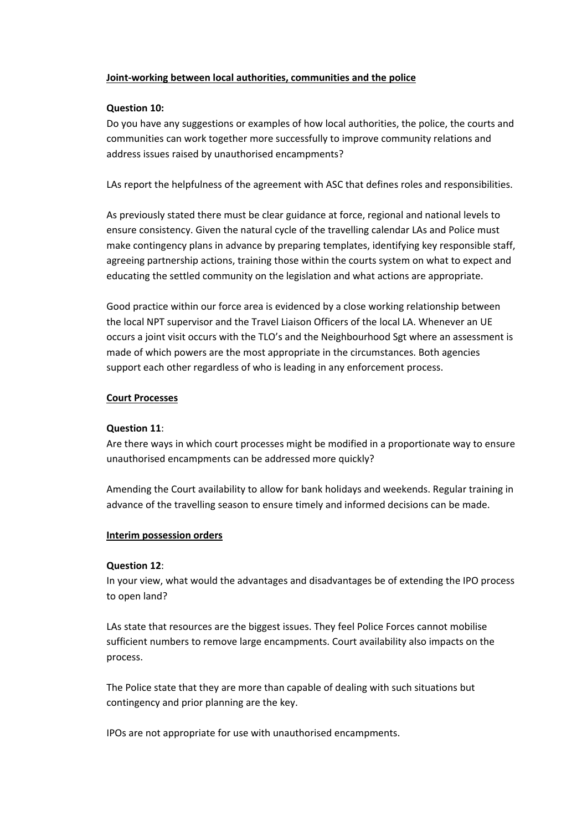## **Joint‐working between local authorities, communities and the police**

## **Question 10:**

Do you have any suggestions or examples of how local authorities, the police, the courts and communities can work together more successfully to improve community relations and address issues raised by unauthorised encampments?

LAs report the helpfulness of the agreement with ASC that defines roles and responsibilities.

As previously stated there must be clear guidance at force, regional and national levels to ensure consistency. Given the natural cycle of the travelling calendar LAs and Police must make contingency plans in advance by preparing templates, identifying key responsible staff, agreeing partnership actions, training those within the courts system on what to expect and educating the settled community on the legislation and what actions are appropriate.

Good practice within our force area is evidenced by a close working relationship between the local NPT supervisor and the Travel Liaison Officers of the local LA. Whenever an UE occurs a joint visit occurs with the TLO's and the Neighbourhood Sgt where an assessment is made of which powers are the most appropriate in the circumstances. Both agencies support each other regardless of who is leading in any enforcement process.

## **Court Processes**

## **Question 11**:

Are there ways in which court processes might be modified in a proportionate way to ensure unauthorised encampments can be addressed more quickly?

Amending the Court availability to allow for bank holidays and weekends. Regular training in advance of the travelling season to ensure timely and informed decisions can be made.

## **Interim possession orders**

## **Question 12**:

In your view, what would the advantages and disadvantages be of extending the IPO process to open land?

LAs state that resources are the biggest issues. They feel Police Forces cannot mobilise sufficient numbers to remove large encampments. Court availability also impacts on the process.

The Police state that they are more than capable of dealing with such situations but contingency and prior planning are the key.

IPOs are not appropriate for use with unauthorised encampments.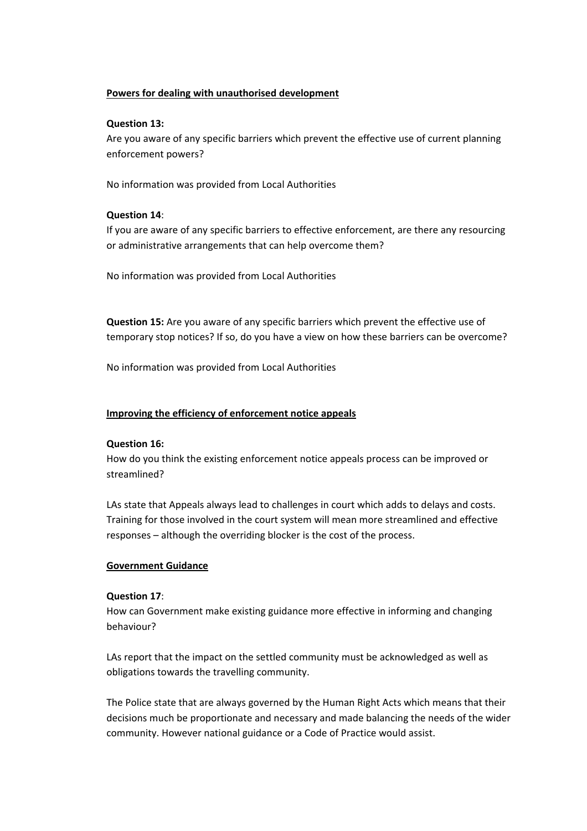## **Powers for dealing with unauthorised development**

## **Question 13:**

Are you aware of any specific barriers which prevent the effective use of current planning enforcement powers?

No information was provided from Local Authorities

## **Question 14**:

If you are aware of any specific barriers to effective enforcement, are there any resourcing or administrative arrangements that can help overcome them?

No information was provided from Local Authorities

**Question 15:** Are you aware of any specific barriers which prevent the effective use of temporary stop notices? If so, do you have a view on how these barriers can be overcome?

No information was provided from Local Authorities

## **Improving the efficiency of enforcement notice appeals**

## **Question 16:**

How do you think the existing enforcement notice appeals process can be improved or streamlined?

LAs state that Appeals always lead to challenges in court which adds to delays and costs. Training for those involved in the court system will mean more streamlined and effective responses – although the overriding blocker is the cost of the process.

## **Government Guidance**

## **Question 17**:

How can Government make existing guidance more effective in informing and changing behaviour?

LAs report that the impact on the settled community must be acknowledged as well as obligations towards the travelling community.

The Police state that are always governed by the Human Right Acts which means that their decisions much be proportionate and necessary and made balancing the needs of the wider community. However national guidance or a Code of Practice would assist.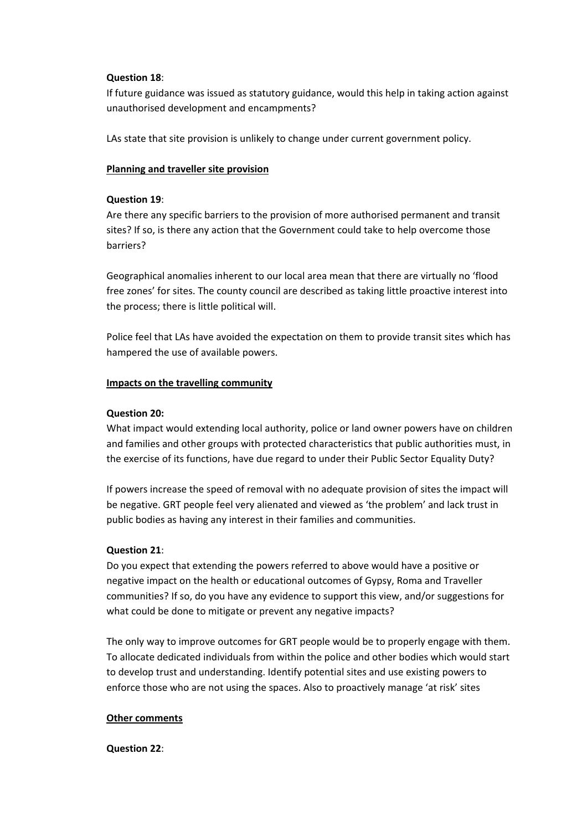#### **Question 18**:

If future guidance was issued as statutory guidance, would this help in taking action against unauthorised development and encampments?

LAs state that site provision is unlikely to change under current government policy.

#### **Planning and traveller site provision**

#### **Question 19**:

Are there any specific barriers to the provision of more authorised permanent and transit sites? If so, is there any action that the Government could take to help overcome those barriers?

Geographical anomalies inherent to our local area mean that there are virtually no 'flood free zones' for sites. The county council are described as taking little proactive interest into the process; there is little political will.

Police feel that LAs have avoided the expectation on them to provide transit sites which has hampered the use of available powers.

#### **Impacts on the travelling community**

#### **Question 20:**

What impact would extending local authority, police or land owner powers have on children and families and other groups with protected characteristics that public authorities must, in the exercise of its functions, have due regard to under their Public Sector Equality Duty?

If powers increase the speed of removal with no adequate provision of sites the impact will be negative. GRT people feel very alienated and viewed as 'the problem' and lack trust in public bodies as having any interest in their families and communities.

## **Question 21**:

Do you expect that extending the powers referred to above would have a positive or negative impact on the health or educational outcomes of Gypsy, Roma and Traveller communities? If so, do you have any evidence to support this view, and/or suggestions for what could be done to mitigate or prevent any negative impacts?

The only way to improve outcomes for GRT people would be to properly engage with them. To allocate dedicated individuals from within the police and other bodies which would start to develop trust and understanding. Identify potential sites and use existing powers to enforce those who are not using the spaces. Also to proactively manage 'at risk' sites

#### **Other comments**

#### **Question 22**: